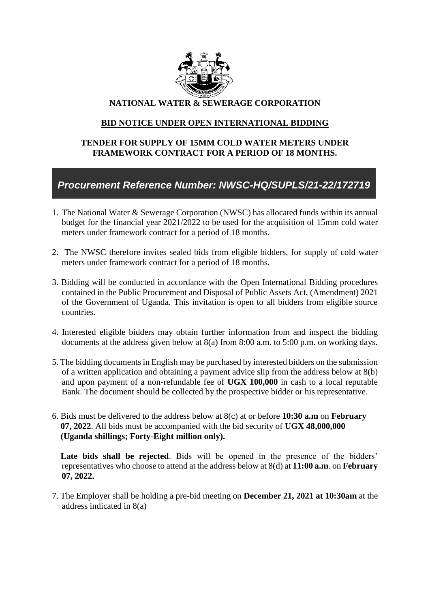

## **NATIONAL WATER & SEWERAGE CORPORATION**

## **BID NOTICE UNDER OPEN INTERNATIONAL BIDDING**

## **TENDER FOR SUPPLY OF 15MM COLD WATER METERS UNDER FRAMEWORK CONTRACT FOR A PERIOD OF 18 MONTHS.**

## *Procurement Reference Number: NWSC-HQ/SUPLS/21-22/172719*

- 1. The National Water & Sewerage Corporation (NWSC) has allocated funds within its annual budget for the financial year 2021/2022 to be used for the acquisition of 15mm cold water meters under framework contract for a period of 18 months.
- 2. The NWSC therefore invites sealed bids from eligible bidders, for supply of cold water meters under framework contract for a period of 18 months.
- 3. Bidding will be conducted in accordance with the Open International Bidding procedures contained in the Public Procurement and Disposal of Public Assets Act, (Amendment) 2021 of the Government of Uganda. This invitation is open to all bidders from eligible source countries.
- 4. Interested eligible bidders may obtain further information from and inspect the bidding documents at the address given below at 8(a) from 8:00 a.m. to 5:00 p.m. on working days.
- 5. The bidding documents in English may be purchased by interested bidders on the submission of a written application and obtaining a payment advice slip from the address below at 8(b) and upon payment of a non-refundable fee of **UGX 100,000** in cash to a local reputable Bank. The document should be collected by the prospective bidder or his representative.
- 6. Bids must be delivered to the address below at 8(c) at or before **10:30 a.m** on **February 07, 2022**. All bids must be accompanied with the bid security of **UGX 48,000,000 (Uganda shillings; Forty-Eight million only).**

 **Late bids shall be rejected**. Bids will be opened in the presence of the bidders' representatives who choose to attend at the address below at 8(d) at **11:00 a.m**. on **February 07, 2022.**

7. The Employer shall be holding a pre-bid meeting on **December 21, 2021 at 10:30am** at the address indicated in 8(a)